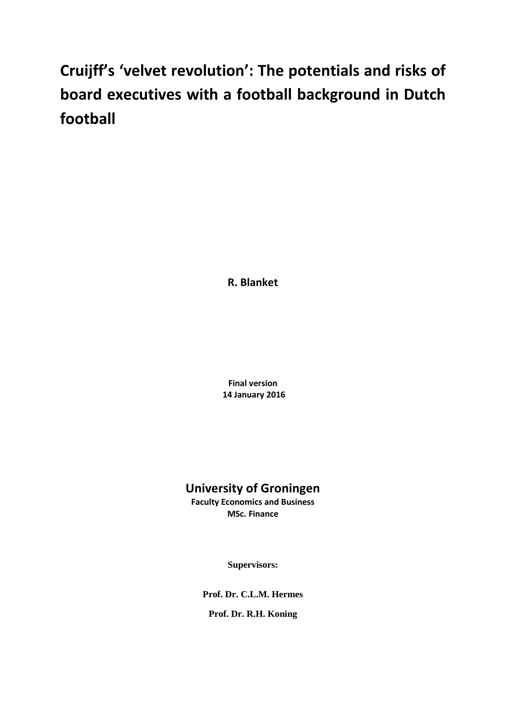# **Cruijff's 'velvet revolution': The potentials and risks of board executives with a football background in Dutch football**

**R. Blanket**

**Final version 14 January 2016**

# **University of Groningen**

**Faculty Economics and Business MSc. Finance**

**Supervisors:**

**Prof. Dr. C.L.M. Hermes**

**Prof. Dr. R.H. Koning**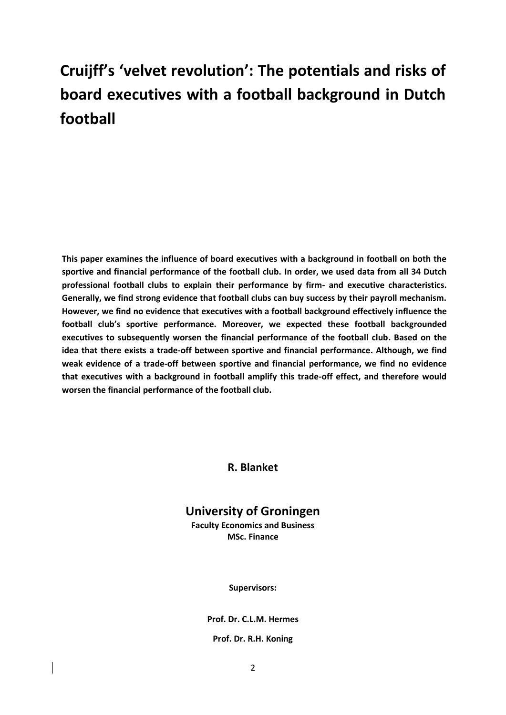# **Cruijff's 'velvet revolution': The potentials and risks of board executives with a football background in Dutch football**

**This paper examines the influence of board executives with a background in football on both the sportive and financial performance of the football club. In order, we used data from all 34 Dutch professional football clubs to explain their performance by firm- and executive characteristics. Generally, we find strong evidence that football clubs can buy success by their payroll mechanism. However, we find no evidence that executives with a football background effectively influence the football club's sportive performance. Moreover, we expected these football backgrounded executives to subsequently worsen the financial performance of the football club. Based on the idea that there exists a trade-off between sportive and financial performance. Although, we find weak evidence of a trade-off between sportive and financial performance, we find no evidence that executives with a background in football amplify this trade-off effect, and therefore would worsen the financial performance of the football club.** 

**R. Blanket**

# **University of Groningen**

**Faculty Economics and Business MSc. Finance**

**Supervisors:**

**Prof. Dr. C.L.M. Hermes**

**Prof. Dr. R.H. Koning**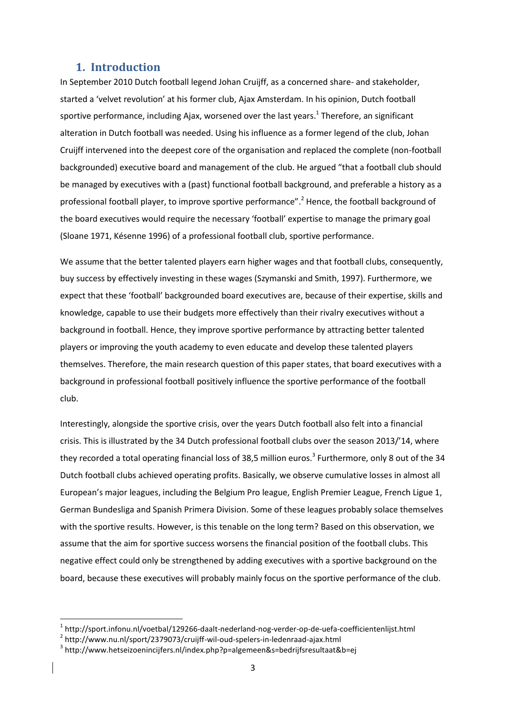## **1. Introduction**

In September 2010 Dutch football legend Johan Cruijff, as a concerned share- and stakeholder, started a 'velvet revolution' at his former club, Ajax Amsterdam. In his opinion, Dutch football sportive performance, including Ajax, worsened over the last years.<sup>1</sup> Therefore, an significant alteration in Dutch football was needed. Using his influence as a former legend of the club, Johan Cruijff intervened into the deepest core of the organisation and replaced the complete (non-football backgrounded) executive board and management of the club. He argued "that a football club should be managed by executives with a (past) functional football background, and preferable a history as a professional football player, to improve sportive performance".<sup>2</sup> Hence, the football background of the board executives would require the necessary 'football' expertise to manage the primary goal (Sloane 1971, Késenne 1996) of a professional football club, sportive performance.

We assume that the better talented players earn higher wages and that football clubs, consequently, buy success by effectively investing in these wages (Szymanski and Smith, 1997). Furthermore, we expect that these 'football' backgrounded board executives are, because of their expertise, skills and knowledge, capable to use their budgets more effectively than their rivalry executives without a background in football. Hence, they improve sportive performance by attracting better talented players or improving the youth academy to even educate and develop these talented players themselves. Therefore, the main research question of this paper states, that board executives with a background in professional football positively influence the sportive performance of the football club.

Interestingly, alongside the sportive crisis, over the years Dutch football also felt into a financial crisis. This is illustrated by the 34 Dutch professional football clubs over the season 2013/'14, where they recorded a total operating financial loss of 38,5 million euros.<sup>3</sup> Furthermore, only 8 out of the 34 Dutch football clubs achieved operating profits. Basically, we observe cumulative losses in almost all European's major leagues, including the Belgium Pro league, English Premier League, French Ligue 1, German Bundesliga and Spanish Primera Division. Some of these leagues probably solace themselves with the sportive results. However, is this tenable on the long term? Based on this observation, we assume that the aim for sportive success worsens the financial position of the football clubs. This negative effect could only be strengthened by adding executives with a sportive background on the board, because these executives will probably mainly focus on the sportive performance of the club.

**.** 

 $^{\text{1}}$ http://sport.infonu.nl/voetbal/129266-daalt-nederland-nog-verder-op-de-uefa-coefficientenlijst.html

<sup>&</sup>lt;sup>2</sup> <http://www.nu.nl/sport/2379073/cruijff-wil-oud-spelers-in-ledenraad-ajax.html>

<sup>&</sup>lt;sup>3</sup> http://www.hetseizoenincijfers.nl/index.php?p=algemeen&s=bedrijfsresultaat&b=ej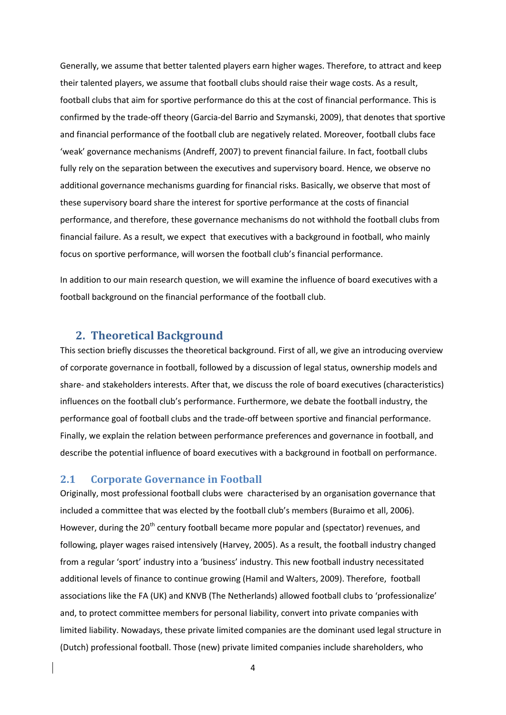Generally, we assume that better talented players earn higher wages. Therefore, to attract and keep their talented players, we assume that football clubs should raise their wage costs. As a result, football clubs that aim for sportive performance do this at the cost of financial performance. This is confirmed by the trade-off theory (Garcia-del Barrio and Szymanski, 2009), that denotes that sportive and financial performance of the football club are negatively related. Moreover, football clubs face 'weak' governance mechanisms (Andreff, 2007) to prevent financial failure. In fact, football clubs fully rely on the separation between the executives and supervisory board. Hence, we observe no additional governance mechanisms guarding for financial risks. Basically, we observe that most of these supervisory board share the interest for sportive performance at the costs of financial performance, and therefore, these governance mechanisms do not withhold the football clubs from financial failure. As a result, we expect that executives with a background in football, who mainly focus on sportive performance, will worsen the football club's financial performance.

In addition to our main research question, we will examine the influence of board executives with a football background on the financial performance of the football club.

## **2. Theoretical Background**

This section briefly discusses the theoretical background. First of all, we give an introducing overview of corporate governance in football, followed by a discussion of legal status, ownership models and share- and stakeholders interests. After that, we discuss the role of board executives (characteristics) influences on the football club's performance. Furthermore, we debate the football industry, the performance goal of football clubs and the trade-off between sportive and financial performance. Finally, we explain the relation between performance preferences and governance in football, and describe the potential influence of board executives with a background in football on performance.

## **2.1 Corporate Governance in Football**

Originally, most professional football clubs were characterised by an organisation governance that included a committee that was elected by the football club's members (Buraimo et all, 2006). However, during the 20<sup>th</sup> century football became more popular and (spectator) revenues, and following, player wages raised intensively (Harvey, 2005). As a result, the football industry changed from a regular 'sport' industry into a 'business' industry. This new football industry necessitated additional levels of finance to continue growing (Hamil and Walters, 2009). Therefore, football associations like the FA (UK) and KNVB (The Netherlands) allowed football clubs to 'professionalize' and, to protect committee members for personal liability, convert into private companies with limited liability. Nowadays, these private limited companies are the dominant used legal structure in (Dutch) professional football. Those (new) private limited companies include shareholders, who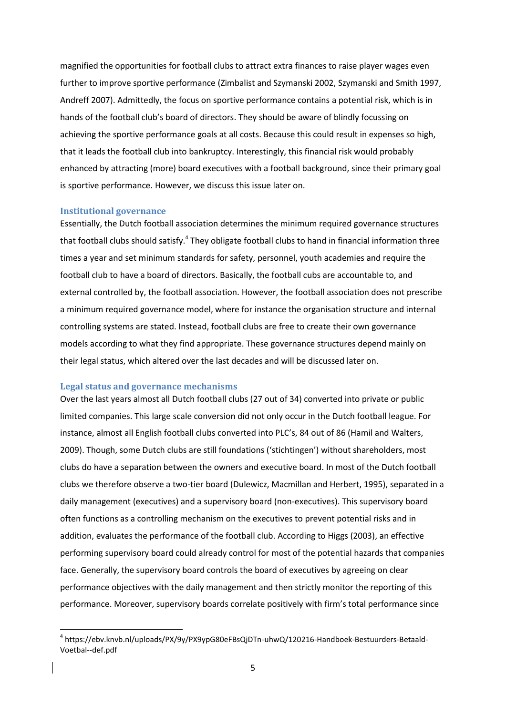magnified the opportunities for football clubs to attract extra finances to raise player wages even further to improve sportive performance (Zimbalist and Szymanski 2002, Szymanski and Smith 1997, Andreff 2007). Admittedly, the focus on sportive performance contains a potential risk, which is in hands of the football club's board of directors. They should be aware of blindly focussing on achieving the sportive performance goals at all costs. Because this could result in expenses so high, that it leads the football club into bankruptcy. Interestingly, this financial risk would probably enhanced by attracting (more) board executives with a football background, since their primary goal is sportive performance. However, we discuss this issue later on.

#### **Institutional governance**

1

Essentially, the Dutch football association determines the minimum required governance structures that football clubs should satisfy.<sup>4</sup> They obligate football clubs to hand in financial information three times a year and set minimum standards for safety, personnel, youth academies and require the football club to have a board of directors. Basically, the football cubs are accountable to, and external controlled by, the football association. However, the football association does not prescribe a minimum required governance model, where for instance the organisation structure and internal controlling systems are stated. Instead, football clubs are free to create their own governance models according to what they find appropriate. These governance structures depend mainly on their legal status, which altered over the last decades and will be discussed later on.

#### **Legal status and governance mechanisms**

Over the last years almost all Dutch football clubs (27 out of 34) converted into private or public limited companies. This large scale conversion did not only occur in the Dutch football league. For instance, almost all English football clubs converted into PLC's, 84 out of 86 (Hamil and Walters, 2009). Though, some Dutch clubs are still foundations ('stichtingen') without shareholders, most clubs do have a separation between the owners and executive board. In most of the Dutch football clubs we therefore observe a two-tier board (Dulewicz, Macmillan and Herbert, 1995), separated in a daily management (executives) and a supervisory board (non-executives). This supervisory board often functions as a controlling mechanism on the executives to prevent potential risks and in addition, evaluates the performance of the football club. According to Higgs (2003), an effective performing supervisory board could already control for most of the potential hazards that companies face. Generally, the supervisory board controls the board of executives by agreeing on clear performance objectives with the daily management and then strictly monitor the reporting of this performance. Moreover, supervisory boards correlate positively with firm's total performance since

<sup>4</sup> https://ebv.knvb.nl/uploads/PX/9y/PX9ypG80eFBsQjDTn-uhwQ/120216-Handboek-Bestuurders-Betaald-Voetbal--def.pdf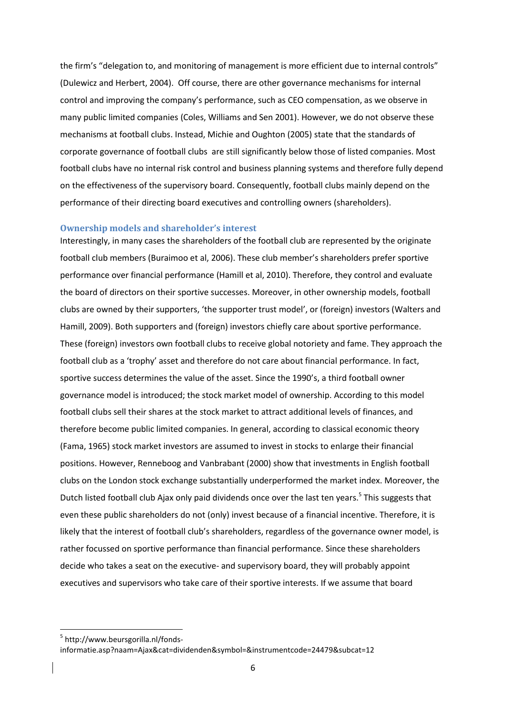the firm's "delegation to, and monitoring of management is more efficient due to internal controls" (Dulewicz and Herbert, 2004). Off course, there are other governance mechanisms for internal control and improving the company's performance, such as CEO compensation, as we observe in many public limited companies (Coles, Williams and Sen 2001). However, we do not observe these mechanisms at football clubs. Instead, Michie and Oughton (2005) state that the standards of corporate governance of football clubs are still significantly below those of listed companies. Most football clubs have no internal risk control and business planning systems and therefore fully depend on the effectiveness of the supervisory board. Consequently, football clubs mainly depend on the performance of their directing board executives and controlling owners (shareholders).

#### **Ownership models and shareholder's interest**

Interestingly, in many cases the shareholders of the football club are represented by the originate football club members (Buraimoo et al, 2006). These club member's shareholders prefer sportive performance over financial performance (Hamill et al, 2010). Therefore, they control and evaluate the board of directors on their sportive successes. Moreover, in other ownership models, football clubs are owned by their supporters, 'the supporter trust model', or (foreign) investors (Walters and Hamill, 2009). Both supporters and (foreign) investors chiefly care about sportive performance. These (foreign) investors own football clubs to receive global notoriety and fame. They approach the football club as a 'trophy' asset and therefore do not care about financial performance. In fact, sportive success determines the value of the asset. Since the 1990's, a third football owner governance model is introduced; the stock market model of ownership. According to this model football clubs sell their shares at the stock market to attract additional levels of finances, and therefore become public limited companies. In general, according to classical economic theory (Fama, 1965) stock market investors are assumed to invest in stocks to enlarge their financial positions. However, Renneboog and Vanbrabant (2000) show that investments in English football clubs on the London stock exchange substantially underperformed the market index. Moreover, the Dutch listed football club Ajax only paid dividends once over the last ten years.<sup>5</sup> This suggests that even these public shareholders do not (only) invest because of a financial incentive. Therefore, it is likely that the interest of football club's shareholders, regardless of the governance owner model, is rather focussed on sportive performance than financial performance. Since these shareholders decide who takes a seat on the executive- and supervisory board, they will probably appoint executives and supervisors who take care of their sportive interests. If we assume that board

<sup>5</sup> http://www.beursgorilla.nl/fonds-

informatie.asp?naam=Ajax&cat=dividenden&symbol=&instrumentcode=24479&subcat=12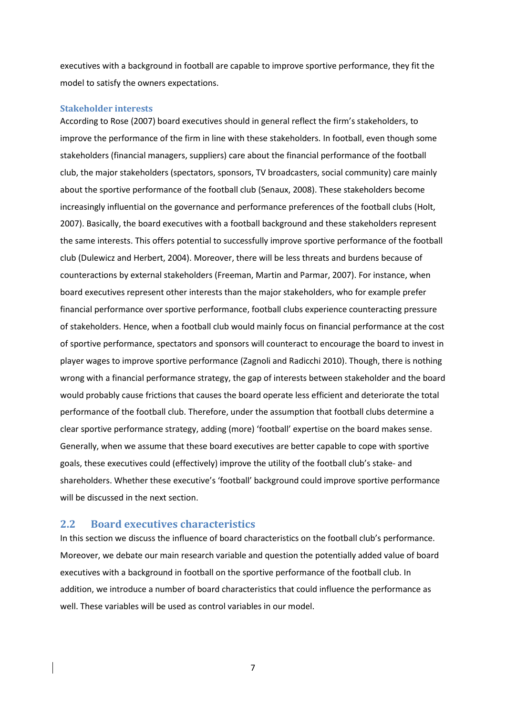executives with a background in football are capable to improve sportive performance, they fit the model to satisfy the owners expectations.

#### **Stakeholder interests**

According to Rose (2007) board executives should in general reflect the firm's stakeholders, to improve the performance of the firm in line with these stakeholders. In football, even though some stakeholders (financial managers, suppliers) care about the financial performance of the football club, the major stakeholders (spectators, sponsors, TV broadcasters, social community) care mainly about the sportive performance of the football club (Senaux, 2008). These stakeholders become increasingly influential on the governance and performance preferences of the football clubs (Holt, 2007). Basically, the board executives with a football background and these stakeholders represent the same interests. This offers potential to successfully improve sportive performance of the football club (Dulewicz and Herbert, 2004). Moreover, there will be less threats and burdens because of counteractions by external stakeholders (Freeman, Martin and Parmar, 2007). For instance, when board executives represent other interests than the major stakeholders, who for example prefer financial performance over sportive performance, football clubs experience counteracting pressure of stakeholders. Hence, when a football club would mainly focus on financial performance at the cost of sportive performance, spectators and sponsors will counteract to encourage the board to invest in player wages to improve sportive performance (Zagnoli and Radicchi 2010). Though, there is nothing wrong with a financial performance strategy, the gap of interests between stakeholder and the board would probably cause frictions that causes the board operate less efficient and deteriorate the total performance of the football club. Therefore, under the assumption that football clubs determine a clear sportive performance strategy, adding (more) 'football' expertise on the board makes sense. Generally, when we assume that these board executives are better capable to cope with sportive goals, these executives could (effectively) improve the utility of the football club's stake- and shareholders. Whether these executive's 'football' background could improve sportive performance will be discussed in the next section.

## **2.2 Board executives characteristics**

In this section we discuss the influence of board characteristics on the football club's performance. Moreover, we debate our main research variable and question the potentially added value of board executives with a background in football on the sportive performance of the football club. In addition, we introduce a number of board characteristics that could influence the performance as well. These variables will be used as control variables in our model.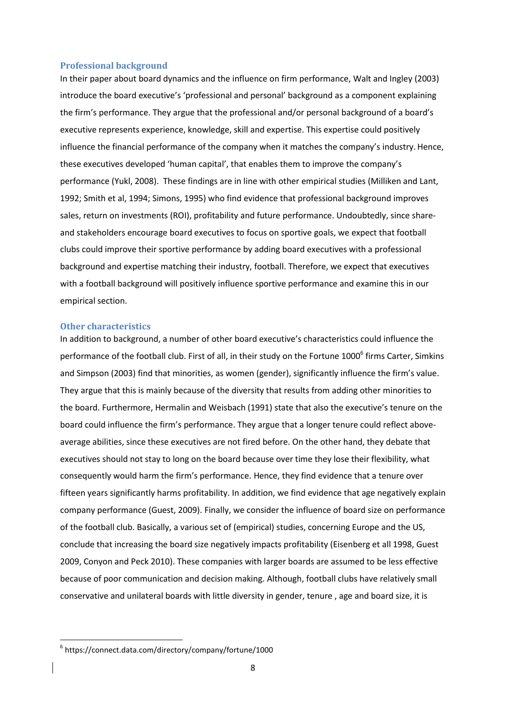#### **Professional background**

In their paper about board dynamics and the influence on firm performance, Walt and Ingley (2003) introduce the board executive's 'professional and personal' background as a component explaining the firm's performance. They argue that the professional and/or personal background of a board's executive represents experience, knowledge, skill and expertise. This expertise could positively influence the financial performance of the company when it matches the company's industry. Hence, these executives developed 'human capital', that enables them to improve the company's performance (Yukl, 2008). These findings are in line with other empirical studies (Milliken and Lant, 1992; Smith et al, 1994; Simons, 1995) who find evidence that professional background improves sales, return on investments (ROI), profitability and future performance. Undoubtedly, since shareand stakeholders encourage board executives to focus on sportive goals, we expect that football clubs could improve their sportive performance by adding board executives with a professional background and expertise matching their industry, football. Therefore, we expect that executives with a football background will positively influence sportive performance and examine this in our empirical section.

#### **Other characteristics**

**.** 

In addition to background, a number of other board executive's characteristics could influence the performance of the football club. First of all, in their study on the Fortune 1000<sup>6</sup> firms Carter, Simkins and Simpson (2003) find that minorities, as women (gender), significantly influence the firm's value. They argue that this is mainly because of the diversity that results from adding other minorities to the board. Furthermore, Hermalin and Weisbach (1991) state that also the executive's tenure on the board could influence the firm's performance. They argue that a longer tenure could reflect aboveaverage abilities, since these executives are not fired before. On the other hand, they debate that executives should not stay to long on the board because over time they lose their flexibility, what consequently would harm the firm's performance. Hence, they find evidence that a tenure over fifteen years significantly harms profitability. In addition, we find evidence that age negatively explain company performance (Guest, 2009). Finally, we consider the influence of board size on performance of the football club. Basically, a various set of (empirical) studies, concerning Europe and the US, conclude that increasing the board size negatively impacts profitability (Eisenberg et all 1998, Guest 2009, Conyon and Peck 2010). These companies with larger boards are assumed to be less effective because of poor communication and decision making. Although, football clubs have relatively small conservative and unilateral boards with little diversity in gender, tenure , age and board size, it is

<sup>6</sup> https://connect.data.com/directory/company/fortune/1000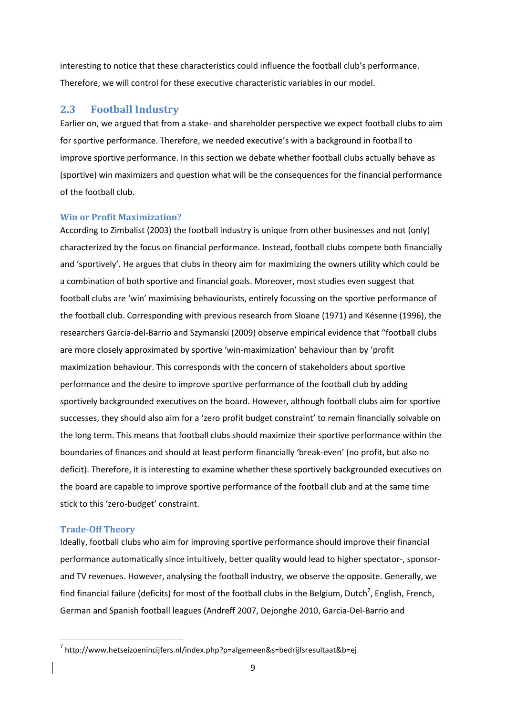interesting to notice that these characteristics could influence the football club's performance. Therefore, we will control for these executive characteristic variables in our model.

## **2.3 Football Industry**

Earlier on, we argued that from a stake- and shareholder perspective we expect football clubs to aim for sportive performance. Therefore, we needed executive's with a background in football to improve sportive performance. In this section we debate whether football clubs actually behave as (sportive) win maximizers and question what will be the consequences for the financial performance of the football club.

## **Win or Profit Maximization?**

According to Zimbalist (2003) the football industry is unique from other businesses and not (only) characterized by the focus on financial performance. Instead, football clubs compete both financially and 'sportively'. He argues that clubs in theory aim for maximizing the owners utility which could be a combination of both sportive and financial goals. Moreover, most studies even suggest that football clubs are 'win' maximising behaviourists, entirely focussing on the sportive performance of the football club. Corresponding with previous research from Sloane (1971) and Késenne (1996), the researchers Garcia-del-Barrio and Szymanski (2009) observe empirical evidence that "football clubs are more closely approximated by sportive 'win-maximization' behaviour than by 'profit maximization behaviour. This corresponds with the concern of stakeholders about sportive performance and the desire to improve sportive performance of the football club by adding sportively backgrounded executives on the board. However, although football clubs aim for sportive successes, they should also aim for a 'zero profit budget constraint' to remain financially solvable on the long term. This means that football clubs should maximize their sportive performance within the boundaries of finances and should at least perform financially 'break-even' (no profit, but also no deficit). Therefore, it is interesting to examine whether these sportively backgrounded executives on the board are capable to improve sportive performance of the football club and at the same time stick to this 'zero-budget' constraint.

## **Trade-Off Theory**

**.** 

Ideally, football clubs who aim for improving sportive performance should improve their financial performance automatically since intuitively, better quality would lead to higher spectator-, sponsorand TV revenues. However, analysing the football industry, we observe the opposite. Generally, we find financial failure (deficits) for most of the football clubs in the Belgium, Dutch<sup>7</sup>, English, French, German and Spanish football leagues (Andreff 2007, Dejonghe 2010, Garcia-Del-Barrio and

<sup>&</sup>lt;sup>7</sup> http://www.hetseizoenincijfers.nl/index.php?p=algemeen&s=bedrijfsresultaat&b=ej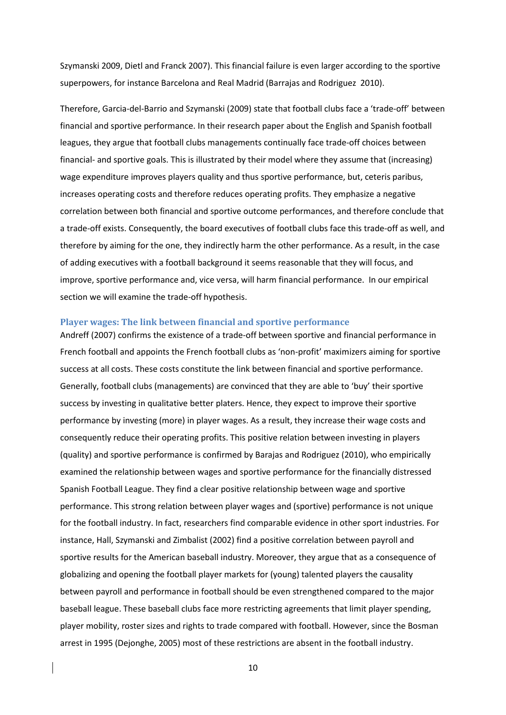Szymanski 2009, Dietl and Franck 2007). This financial failure is even larger according to the sportive superpowers, for instance Barcelona and Real Madrid (Barrajas and Rodriguez 2010).

Therefore, Garcia-del-Barrio and Szymanski (2009) state that football clubs face a 'trade-off' between financial and sportive performance. In their research paper about the English and Spanish football leagues, they argue that football clubs managements continually face trade-off choices between financial- and sportive goals. This is illustrated by their model where they assume that (increasing) wage expenditure improves players quality and thus sportive performance, but, ceteris paribus, increases operating costs and therefore reduces operating profits. They emphasize a negative correlation between both financial and sportive outcome performances, and therefore conclude that a trade-off exists. Consequently, the board executives of football clubs face this trade-off as well, and therefore by aiming for the one, they indirectly harm the other performance. As a result, in the case of adding executives with a football background it seems reasonable that they will focus, and improve, sportive performance and, vice versa, will harm financial performance. In our empirical section we will examine the trade-off hypothesis.

#### **Player wages: The link between financial and sportive performance**

Andreff (2007) confirms the existence of a trade-off between sportive and financial performance in French football and appoints the French football clubs as 'non-profit' maximizers aiming for sportive success at all costs. These costs constitute the link between financial and sportive performance. Generally, football clubs (managements) are convinced that they are able to 'buy' their sportive success by investing in qualitative better platers. Hence, they expect to improve their sportive performance by investing (more) in player wages. As a result, they increase their wage costs and consequently reduce their operating profits. This positive relation between investing in players (quality) and sportive performance is confirmed by Barajas and Rodriguez (2010), who empirically examined the relationship between wages and sportive performance for the financially distressed Spanish Football League. They find a clear positive relationship between wage and sportive performance. This strong relation between player wages and (sportive) performance is not unique for the football industry. In fact, researchers find comparable evidence in other sport industries. For instance, Hall, Szymanski and Zimbalist (2002) find a positive correlation between payroll and sportive results for the American baseball industry. Moreover, they argue that as a consequence of globalizing and opening the football player markets for (young) talented players the causality between payroll and performance in football should be even strengthened compared to the major baseball league. These baseball clubs face more restricting agreements that limit player spending, player mobility, roster sizes and rights to trade compared with football. However, since the Bosman arrest in 1995 (Dejonghe, 2005) most of these restrictions are absent in the football industry.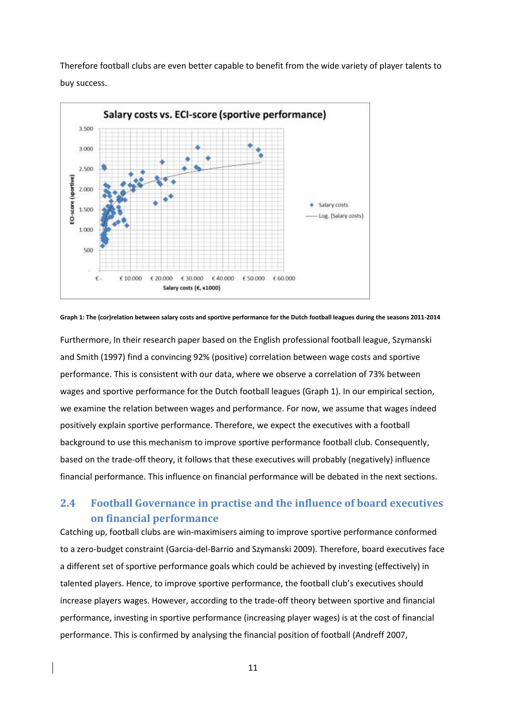Therefore football clubs are even better capable to benefit from the wide variety of player talents to buy success.



**Graph 1: The (cor)relation between salary costs and sportive performance for the Dutch football leagues during the seasons 2011-2014**

Furthermore, In their research paper based on the English professional football league, Szymanski and Smith (1997) find a convincing 92% (positive) correlation between wage costs and sportive performance. This is consistent with our data, where we observe a correlation of 73% between wages and sportive performance for the Dutch football leagues (Graph 1). In our empirical section, we examine the relation between wages and performance. For now, we assume that wages indeed positively explain sportive performance. Therefore, we expect the executives with a football background to use this mechanism to improve sportive performance football club. Consequently, based on the trade-off theory, it follows that these executives will probably (negatively) influence financial performance. This influence on financial performance will be debated in the next sections.

## **2.4 Football Governance in practise and the influence of board executives on financial performance**

Catching up, football clubs are win-maximisers aiming to improve sportive performance conformed to a zero-budget constraint (Garcia-del-Barrio and Szymanski 2009). Therefore, board executives face a different set of sportive performance goals which could be achieved by investing (effectively) in talented players. Hence, to improve sportive performance, the football club's executives should increase players wages. However, according to the trade-off theory between sportive and financial performance, investing in sportive performance (increasing player wages) is at the cost of financial performance. This is confirmed by analysing the financial position of football (Andreff 2007,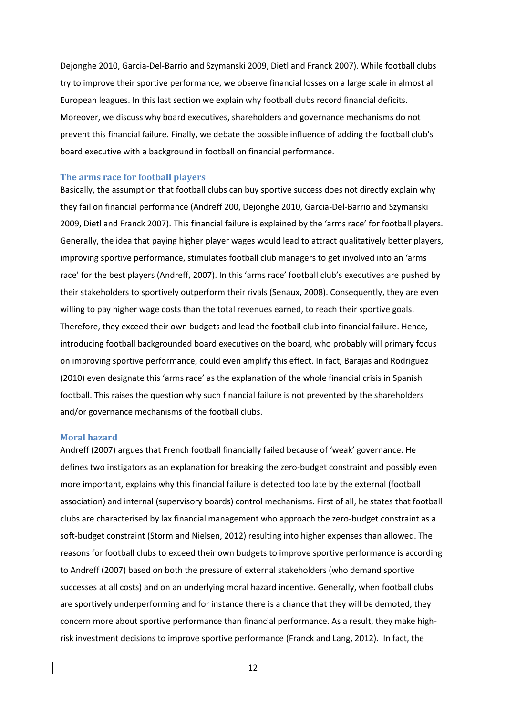Dejonghe 2010, Garcia-Del-Barrio and Szymanski 2009, Dietl and Franck 2007). While football clubs try to improve their sportive performance, we observe financial losses on a large scale in almost all European leagues. In this last section we explain why football clubs record financial deficits. Moreover, we discuss why board executives, shareholders and governance mechanisms do not prevent this financial failure. Finally, we debate the possible influence of adding the football club's board executive with a background in football on financial performance.

#### **The arms race for football players**

Basically, the assumption that football clubs can buy sportive success does not directly explain why they fail on financial performance (Andreff 200, Dejonghe 2010, Garcia-Del-Barrio and Szymanski 2009, Dietl and Franck 2007). This financial failure is explained by the 'arms race' for football players. Generally, the idea that paying higher player wages would lead to attract qualitatively better players, improving sportive performance, stimulates football club managers to get involved into an 'arms race' for the best players (Andreff, 2007). In this 'arms race' football club's executives are pushed by their stakeholders to sportively outperform their rivals (Senaux, 2008). Consequently, they are even willing to pay higher wage costs than the total revenues earned, to reach their sportive goals. Therefore, they exceed their own budgets and lead the football club into financial failure. Hence, introducing football backgrounded board executives on the board, who probably will primary focus on improving sportive performance, could even amplify this effect. In fact, Barajas and Rodriguez (2010) even designate this 'arms race' as the explanation of the whole financial crisis in Spanish football. This raises the question why such financial failure is not prevented by the shareholders and/or governance mechanisms of the football clubs.

#### **Moral hazard**

Andreff (2007) argues that French football financially failed because of 'weak' governance. He defines two instigators as an explanation for breaking the zero-budget constraint and possibly even more important, explains why this financial failure is detected too late by the external (football association) and internal (supervisory boards) control mechanisms. First of all, he states that football clubs are characterised by lax financial management who approach the zero-budget constraint as a soft-budget constraint (Storm and Nielsen, 2012) resulting into higher expenses than allowed. The reasons for football clubs to exceed their own budgets to improve sportive performance is according to Andreff (2007) based on both the pressure of external stakeholders (who demand sportive successes at all costs) and on an underlying moral hazard incentive. Generally, when football clubs are sportively underperforming and for instance there is a chance that they will be demoted, they concern more about sportive performance than financial performance. As a result, they make highrisk investment decisions to improve sportive performance (Franck and Lang, 2012). In fact, the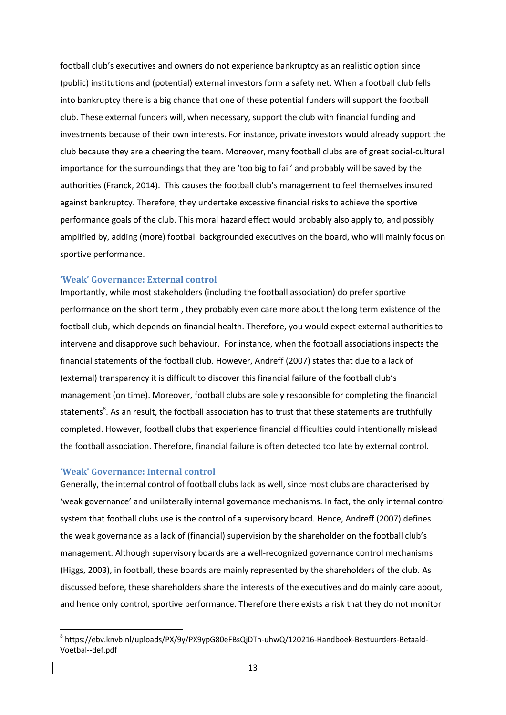football club's executives and owners do not experience bankruptcy as an realistic option since (public) institutions and (potential) external investors form a safety net. When a football club fells into bankruptcy there is a big chance that one of these potential funders will support the football club. These external funders will, when necessary, support the club with financial funding and investments because of their own interests. For instance, private investors would already support the club because they are a cheering the team. Moreover, many football clubs are of great social-cultural importance for the surroundings that they are 'too big to fail' and probably will be saved by the authorities (Franck, 2014). This causes the football club's management to feel themselves insured against bankruptcy. Therefore, they undertake excessive financial risks to achieve the sportive performance goals of the club. This moral hazard effect would probably also apply to, and possibly amplified by, adding (more) football backgrounded executives on the board, who will mainly focus on sportive performance.

#### **'Weak' Governance: External control**

Importantly, while most stakeholders (including the football association) do prefer sportive performance on the short term , they probably even care more about the long term existence of the football club, which depends on financial health. Therefore, you would expect external authorities to intervene and disapprove such behaviour. For instance, when the football associations inspects the financial statements of the football club. However, Andreff (2007) states that due to a lack of (external) transparency it is difficult to discover this financial failure of the football club's management (on time). Moreover, football clubs are solely responsible for completing the financial statements<sup>8</sup>. As an result, the football association has to trust that these statements are truthfully completed. However, football clubs that experience financial difficulties could intentionally mislead the football association. Therefore, financial failure is often detected too late by external control.

#### **'Weak' Governance: Internal control**

1

Generally, the internal control of football clubs lack as well, since most clubs are characterised by 'weak governance' and unilaterally internal governance mechanisms. In fact, the only internal control system that football clubs use is the control of a supervisory board. Hence, Andreff (2007) defines the weak governance as a lack of (financial) supervision by the shareholder on the football club's management. Although supervisory boards are a well-recognized governance control mechanisms (Higgs, 2003), in football, these boards are mainly represented by the shareholders of the club. As discussed before, these shareholders share the interests of the executives and do mainly care about, and hence only control, sportive performance. Therefore there exists a risk that they do not monitor

<sup>8</sup> https://ebv.knvb.nl/uploads/PX/9y/PX9ypG80eFBsQjDTn-uhwQ/120216-Handboek-Bestuurders-Betaald-Voetbal--def.pdf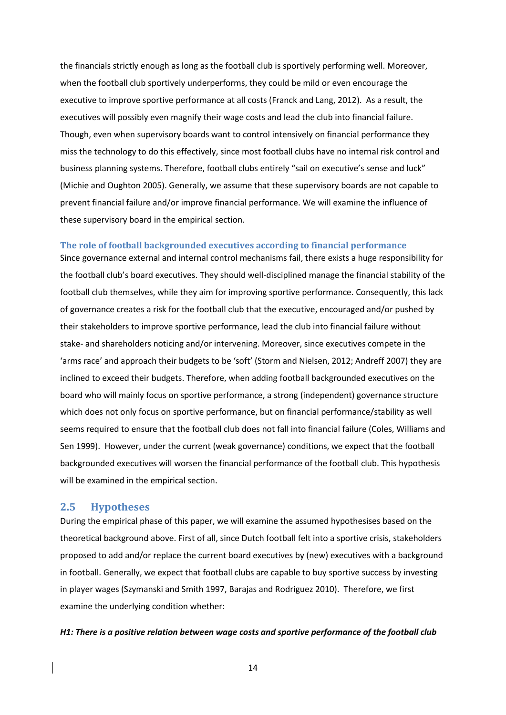the financials strictly enough as long as the football club is sportively performing well. Moreover, when the football club sportively underperforms, they could be mild or even encourage the executive to improve sportive performance at all costs (Franck and Lang, 2012). As a result, the executives will possibly even magnify their wage costs and lead the club into financial failure. Though, even when supervisory boards want to control intensively on financial performance they miss the technology to do this effectively, since most football clubs have no internal risk control and business planning systems. Therefore, football clubs entirely "sail on executive's sense and luck" (Michie and Oughton 2005). Generally, we assume that these supervisory boards are not capable to prevent financial failure and/or improve financial performance. We will examine the influence of these supervisory board in the empirical section.

#### **The role of football backgrounded executives according to financial performance**

Since governance external and internal control mechanisms fail, there exists a huge responsibility for the football club's board executives. They should well-disciplined manage the financial stability of the football club themselves, while they aim for improving sportive performance. Consequently, this lack of governance creates a risk for the football club that the executive, encouraged and/or pushed by their stakeholders to improve sportive performance, lead the club into financial failure without stake- and shareholders noticing and/or intervening. Moreover, since executives compete in the 'arms race' and approach their budgets to be 'soft' (Storm and Nielsen, 2012; Andreff 2007) they are inclined to exceed their budgets. Therefore, when adding football backgrounded executives on the board who will mainly focus on sportive performance, a strong (independent) governance structure which does not only focus on sportive performance, but on financial performance/stability as well seems required to ensure that the football club does not fall into financial failure (Coles, Williams and Sen 1999). However, under the current (weak governance) conditions, we expect that the football backgrounded executives will worsen the financial performance of the football club. This hypothesis will be examined in the empirical section.

## **2.5 Hypotheses**

During the empirical phase of this paper, we will examine the assumed hypothesises based on the theoretical background above. First of all, since Dutch football felt into a sportive crisis, stakeholders proposed to add and/or replace the current board executives by (new) executives with a background in football. Generally, we expect that football clubs are capable to buy sportive success by investing in player wages (Szymanski and Smith 1997, Barajas and Rodriguez 2010). Therefore, we first examine the underlying condition whether:

#### *H1: There is a positive relation between wage costs and sportive performance of the football club*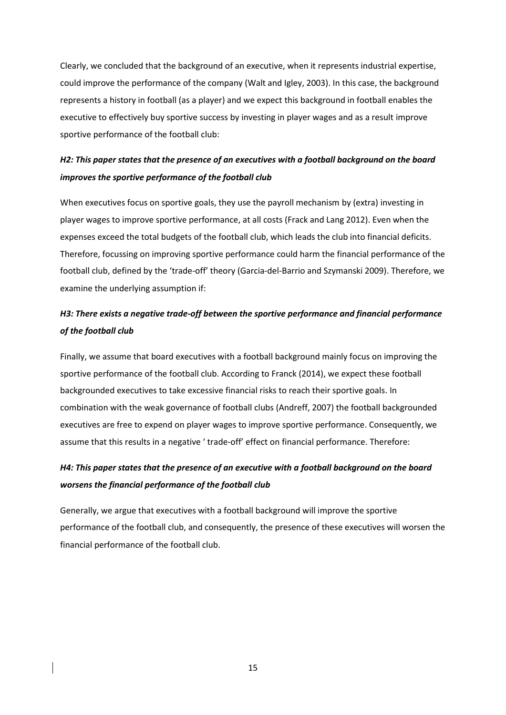Clearly, we concluded that the background of an executive, when it represents industrial expertise, could improve the performance of the company (Walt and Igley, 2003). In this case, the background represents a history in football (as a player) and we expect this background in football enables the executive to effectively buy sportive success by investing in player wages and as a result improve sportive performance of the football club:

## *H2: This paper states that the presence of an executives with a football background on the board improves the sportive performance of the football club*

When executives focus on sportive goals, they use the payroll mechanism by (extra) investing in player wages to improve sportive performance, at all costs (Frack and Lang 2012). Even when the expenses exceed the total budgets of the football club, which leads the club into financial deficits. Therefore, focussing on improving sportive performance could harm the financial performance of the football club, defined by the 'trade-off' theory (Garcia-del-Barrio and Szymanski 2009). Therefore, we examine the underlying assumption if:

## *H3: There exists a negative trade-off between the sportive performance and financial performance of the football club*

Finally, we assume that board executives with a football background mainly focus on improving the sportive performance of the football club. According to Franck (2014), we expect these football backgrounded executives to take excessive financial risks to reach their sportive goals. In combination with the weak governance of football clubs (Andreff, 2007) the football backgrounded executives are free to expend on player wages to improve sportive performance. Consequently, we assume that this results in a negative ' trade-off' effect on financial performance. Therefore:

# *H4: This paper states that the presence of an executive with a football background on the board worsens the financial performance of the football club*

Generally, we argue that executives with a football background will improve the sportive performance of the football club, and consequently, the presence of these executives will worsen the financial performance of the football club.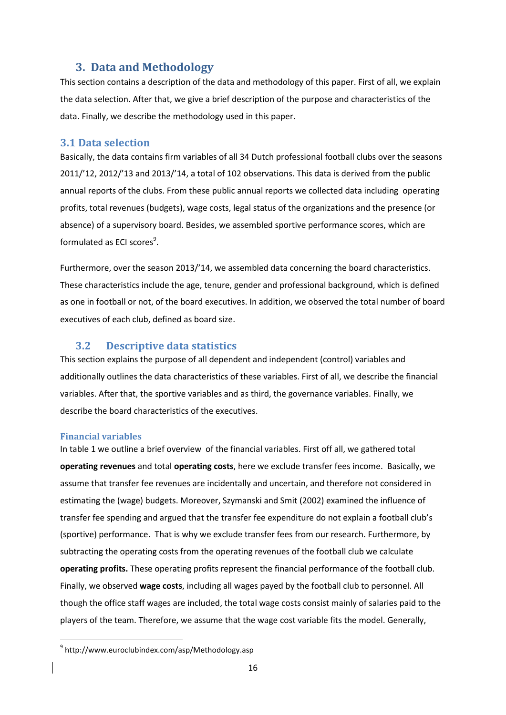## **3. Data and Methodology**

This section contains a description of the data and methodology of this paper. First of all, we explain the data selection. After that, we give a brief description of the purpose and characteristics of the data. Finally, we describe the methodology used in this paper.

## **3.1 Data selection**

Basically, the data contains firm variables of all 34 Dutch professional football clubs over the seasons 2011/'12, 2012/'13 and 2013/'14, a total of 102 observations. This data is derived from the public annual reports of the clubs. From these public annual reports we collected data including operating profits, total revenues (budgets), wage costs, legal status of the organizations and the presence (or absence) of a supervisory board. Besides, we assembled sportive performance scores, which are formulated as ECI scores<sup>9</sup>.

Furthermore, over the season 2013/'14, we assembled data concerning the board characteristics. These characteristics include the age, tenure, gender and professional background, which is defined as one in football or not, of the board executives. In addition, we observed the total number of board executives of each club, defined as board size.

## **3.2 Descriptive data statistics**

This section explains the purpose of all dependent and independent (control) variables and additionally outlines the data characteristics of these variables. First of all, we describe the financial variables. After that, the sportive variables and as third, the governance variables. Finally, we describe the board characteristics of the executives.

## **Financial variables**

**.** 

In table 1 we outline a brief overview of the financial variables. First off all, we gathered total **operating revenues** and total **operating costs**, here we exclude transfer fees income. Basically, we assume that transfer fee revenues are incidentally and uncertain, and therefore not considered in estimating the (wage) budgets. Moreover, Szymanski and Smit (2002) examined the influence of transfer fee spending and argued that the transfer fee expenditure do not explain a football club's (sportive) performance. That is why we exclude transfer fees from our research. Furthermore, by subtracting the operating costs from the operating revenues of the football club we calculate **operating profits.** These operating profits represent the financial performance of the football club. Finally, we observed **wage costs**, including all wages payed by the football club to personnel. All though the office staff wages are included, the total wage costs consist mainly of salaries paid to the players of the team. Therefore, we assume that the wage cost variable fits the model. Generally,

<sup>9</sup> http://www.euroclubindex.com/asp/Methodology.asp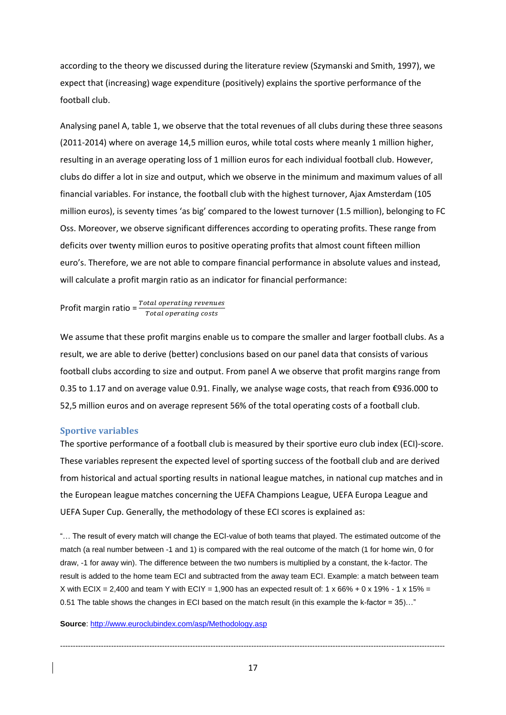according to the theory we discussed during the literature review (Szymanski and Smith, 1997), we expect that (increasing) wage expenditure (positively) explains the sportive performance of the football club.

Analysing panel A, table 1, we observe that the total revenues of all clubs during these three seasons (2011-2014) where on average 14,5 million euros, while total costs where meanly 1 million higher, resulting in an average operating loss of 1 million euros for each individual football club. However, clubs do differ a lot in size and output, which we observe in the minimum and maximum values of all financial variables. For instance, the football club with the highest turnover, Ajax Amsterdam (105 million euros), is seventy times 'as big' compared to the lowest turnover (1.5 million), belonging to FC Oss. Moreover, we observe significant differences according to operating profits. These range from deficits over twenty million euros to positive operating profits that almost count fifteen million euro's. Therefore, we are not able to compare financial performance in absolute values and instead, will calculate a profit margin ratio as an indicator for financial performance:

Profit margin ratio =  $\frac{Total\ operating\ revenues}{Total\复}$ Total operating costs

We assume that these profit margins enable us to compare the smaller and larger football clubs. As a result, we are able to derive (better) conclusions based on our panel data that consists of various football clubs according to size and output. From panel A we observe that profit margins range from 0.35 to 1.17 and on average value 0.91. Finally, we analyse wage costs, that reach from €936.000 to 52,5 million euros and on average represent 56% of the total operating costs of a football club.

## **Sportive variables**

The sportive performance of a football club is measured by their sportive euro club index (ECI)-score. These variables represent the expected level of sporting success of the football club and are derived from historical and actual sporting results in national league matches, in national cup matches and in the European league matches concerning the UEFA Champions League, UEFA Europa League and UEFA Super Cup. Generally, the methodology of these ECI scores is explained as:

"… The result of every match will change the ECI-value of both teams that played. The estimated outcome of the match (a real number between -1 and 1) is compared with the real outcome of the match (1 for home win, 0 for draw, -1 for away win). The difference between the two numbers is multiplied by a constant, the k-factor. The result is added to the home team ECI and subtracted from the away team ECI. Example: a match between team X with ECIX = 2,400 and team Y with ECIY = 1,900 has an expected result of: 1 x 66% + 0 x 19% - 1 x 15% = 0.51 The table shows the changes in ECI based on the match result (in this example the k-factor = 35)…"

#### **Source**:<http://www.euroclubindex.com/asp/Methodology.asp>

-------------------------------------------------------------------------------------------------------------------------------------------------------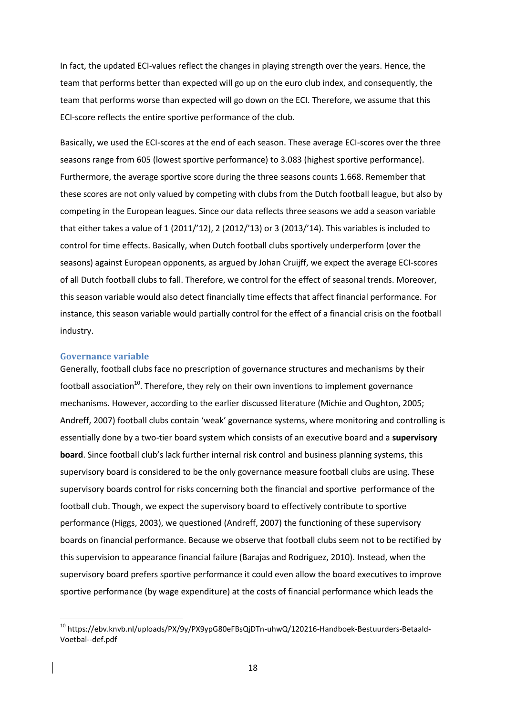In fact, the updated ECI-values reflect the changes in playing strength over the years. Hence, the team that performs better than expected will go up on the euro club index, and consequently, the team that performs worse than expected will go down on the ECI. Therefore, we assume that this ECI-score reflects the entire sportive performance of the club.

Basically, we used the ECI-scores at the end of each season. These average ECI-scores over the three seasons range from 605 (lowest sportive performance) to 3.083 (highest sportive performance). Furthermore, the average sportive score during the three seasons counts 1.668. Remember that these scores are not only valued by competing with clubs from the Dutch football league, but also by competing in the European leagues. Since our data reflects three seasons we add a season variable that either takes a value of 1 (2011/'12), 2 (2012/'13) or 3 (2013/'14). This variables is included to control for time effects. Basically, when Dutch football clubs sportively underperform (over the seasons) against European opponents, as argued by Johan Cruijff, we expect the average ECI-scores of all Dutch football clubs to fall. Therefore, we control for the effect of seasonal trends. Moreover, this season variable would also detect financially time effects that affect financial performance. For instance, this season variable would partially control for the effect of a financial crisis on the football industry.

#### **Governance variable**

**.** 

Generally, football clubs face no prescription of governance structures and mechanisms by their football association<sup>10</sup>. Therefore, they rely on their own inventions to implement governance mechanisms. However, according to the earlier discussed literature (Michie and Oughton, 2005; Andreff, 2007) football clubs contain 'weak' governance systems, where monitoring and controlling is essentially done by a two-tier board system which consists of an executive board and a **supervisory board**. Since football club's lack further internal risk control and business planning systems, this supervisory board is considered to be the only governance measure football clubs are using. These supervisory boards control for risks concerning both the financial and sportive performance of the football club. Though, we expect the supervisory board to effectively contribute to sportive performance (Higgs, 2003), we questioned (Andreff, 2007) the functioning of these supervisory boards on financial performance. Because we observe that football clubs seem not to be rectified by this supervision to appearance financial failure (Barajas and Rodriguez, 2010). Instead, when the supervisory board prefers sportive performance it could even allow the board executives to improve sportive performance (by wage expenditure) at the costs of financial performance which leads the

<sup>10</sup> https://ebv.knvb.nl/uploads/PX/9y/PX9ypG80eFBsQjDTn-uhwQ/120216-Handboek-Bestuurders-Betaald-Voetbal--def.pdf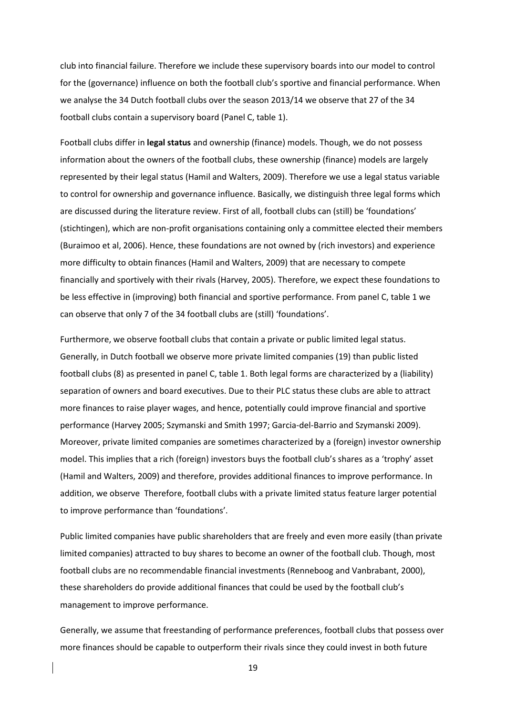club into financial failure. Therefore we include these supervisory boards into our model to control for the (governance) influence on both the football club's sportive and financial performance. When we analyse the 34 Dutch football clubs over the season 2013/14 we observe that 27 of the 34 football clubs contain a supervisory board (Panel C, table 1).

Football clubs differ in **legal status** and ownership (finance) models. Though, we do not possess information about the owners of the football clubs, these ownership (finance) models are largely represented by their legal status (Hamil and Walters, 2009). Therefore we use a legal status variable to control for ownership and governance influence. Basically, we distinguish three legal forms which are discussed during the literature review. First of all, football clubs can (still) be 'foundations' (stichtingen), which are non-profit organisations containing only a committee elected their members (Buraimoo et al, 2006). Hence, these foundations are not owned by (rich investors) and experience more difficulty to obtain finances (Hamil and Walters, 2009) that are necessary to compete financially and sportively with their rivals (Harvey, 2005). Therefore, we expect these foundations to be less effective in (improving) both financial and sportive performance. From panel C, table 1 we can observe that only 7 of the 34 football clubs are (still) 'foundations'.

Furthermore, we observe football clubs that contain a private or public limited legal status. Generally, in Dutch football we observe more private limited companies (19) than public listed football clubs (8) as presented in panel C, table 1. Both legal forms are characterized by a (liability) separation of owners and board executives. Due to their PLC status these clubs are able to attract more finances to raise player wages, and hence, potentially could improve financial and sportive performance (Harvey 2005; Szymanski and Smith 1997; Garcia-del-Barrio and Szymanski 2009). Moreover, private limited companies are sometimes characterized by a (foreign) investor ownership model. This implies that a rich (foreign) investors buys the football club's shares as a 'trophy' asset (Hamil and Walters, 2009) and therefore, provides additional finances to improve performance. In addition, we observe Therefore, football clubs with a private limited status feature larger potential to improve performance than 'foundations'.

Public limited companies have public shareholders that are freely and even more easily (than private limited companies) attracted to buy shares to become an owner of the football club. Though, most football clubs are no recommendable financial investments (Renneboog and Vanbrabant, 2000), these shareholders do provide additional finances that could be used by the football club's management to improve performance.

Generally, we assume that freestanding of performance preferences, football clubs that possess over more finances should be capable to outperform their rivals since they could invest in both future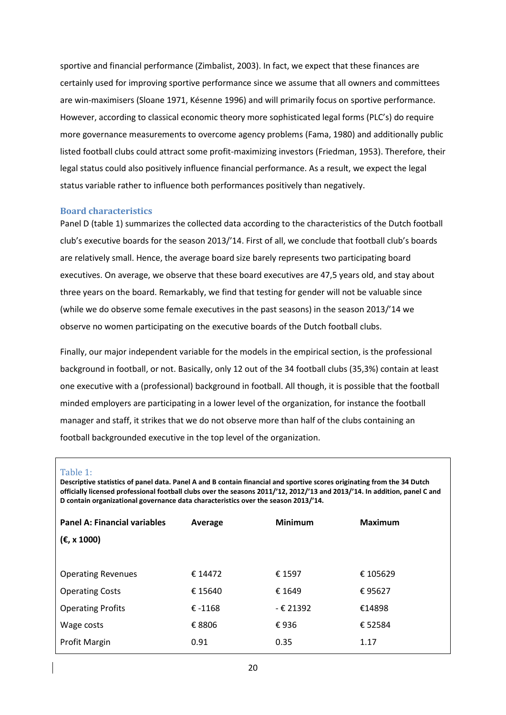sportive and financial performance (Zimbalist, 2003). In fact, we expect that these finances are certainly used for improving sportive performance since we assume that all owners and committees are win-maximisers (Sloane 1971, Késenne 1996) and will primarily focus on sportive performance. However, according to classical economic theory more sophisticated legal forms (PLC's) do require more governance measurements to overcome agency problems (Fama, 1980) and additionally public listed football clubs could attract some profit-maximizing investors (Friedman, 1953). Therefore, their legal status could also positively influence financial performance. As a result, we expect the legal status variable rather to influence both performances positively than negatively.

## **Board characteristics**

Panel D (table 1) summarizes the collected data according to the characteristics of the Dutch football club's executive boards for the season 2013/'14. First of all, we conclude that football club's boards are relatively small. Hence, the average board size barely represents two participating board executives. On average, we observe that these board executives are 47,5 years old, and stay about three years on the board. Remarkably, we find that testing for gender will not be valuable since (while we do observe some female executives in the past seasons) in the season 2013/'14 we observe no women participating on the executive boards of the Dutch football clubs.

Finally, our major independent variable for the models in the empirical section, is the professional background in football, or not. Basically, only 12 out of the 34 football clubs (35,3%) contain at least one executive with a (professional) background in football. All though, it is possible that the football minded employers are participating in a lower level of the organization, for instance the football manager and staff, it strikes that we do not observe more than half of the clubs containing an football backgrounded executive in the top level of the organization.

#### Table 1:

**Descriptive statistics of panel data. Panel A and B contain financial and sportive scores originating from the 34 Dutch officially licensed professional football clubs over the seasons 2011/'12, 2012/'13 and 2013/'14. In addition, panel C and D contain organizational governance data characteristics over the season 2013/'14.**

| <b>Panel A: Financial variables</b> | Average   | <b>Minimum</b> | <b>Maximum</b> |
|-------------------------------------|-----------|----------------|----------------|
| (€, x 1000)                         |           |                |                |
|                                     |           |                |                |
| <b>Operating Revenues</b>           | € 14472   | € 1597         | € 105629       |
| <b>Operating Costs</b>              | € 15640   | € 1649         | €95627         |
| <b>Operating Profits</b>            | € $-1168$ | $-$ € 21392    | €14898         |
| Wage costs                          | € 8806    | €936           | € 52584        |
| Profit Margin                       | 0.91      | 0.35           | 1.17           |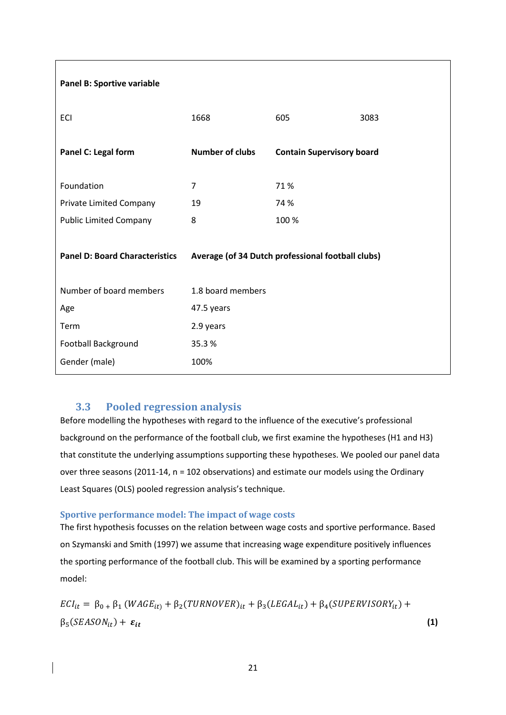| Panel B: Sportive variable            |                                                   |                                  |      |  |
|---------------------------------------|---------------------------------------------------|----------------------------------|------|--|
| ECI                                   | 1668                                              | 605                              | 3083 |  |
| Panel C: Legal form                   | <b>Number of clubs</b>                            | <b>Contain Supervisory board</b> |      |  |
| Foundation                            | 7                                                 | 71%                              |      |  |
| Private Limited Company               | 19                                                | 74 %                             |      |  |
| <b>Public Limited Company</b>         | 8                                                 | 100 %                            |      |  |
| <b>Panel D: Board Characteristics</b> | Average (of 34 Dutch professional football clubs) |                                  |      |  |
| Number of board members               | 1.8 board members                                 |                                  |      |  |
| Age                                   | 47.5 years                                        |                                  |      |  |
| Term                                  | 2.9 years                                         |                                  |      |  |
| Football Background                   | 35.3%                                             |                                  |      |  |
| Gender (male)                         | 100%                                              |                                  |      |  |

## **3.3 Pooled regression analysis**

Before modelling the hypotheses with regard to the influence of the executive's professional background on the performance of the football club, we first examine the hypotheses (H1 and H3) that constitute the underlying assumptions supporting these hypotheses. We pooled our panel data over three seasons (2011-14, n = 102 observations) and estimate our models using the Ordinary Least Squares (OLS) pooled regression analysis's technique.

## **Sportive performance model: The impact of wage costs**

The first hypothesis focusses on the relation between wage costs and sportive performance. Based on Szymanski and Smith (1997) we assume that increasing wage expenditure positively influences the sporting performance of the football club. This will be examined by a sporting performance model:

 $ECI_{it} = \beta_{0+} \beta_1 (WAGE_{it}) + \beta_2(TURNOVER)_{it} + \beta_3 (LEGAL_{it}) + \beta_4 (SUPERVISORY_{it}) +$  $\beta_5(SEASON_{it}) + \varepsilon_{it}$  (1)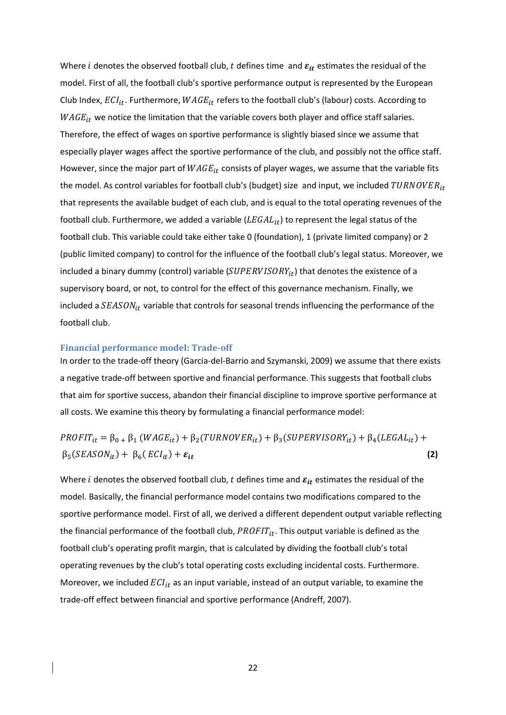Where *i* denotes the observed football club, t defines time and  $\varepsilon_{it}$  estimates the residual of the model. First of all, the football club's sportive performance output is represented by the European Club Index,  $ECI_{it}$ . Furthermore,  $WAGE_{it}$  refers to the football club's (labour) costs. According to  $WAGE_{it}$  we notice the limitation that the variable covers both player and office staff salaries. Therefore, the effect of wages on sportive performance is slightly biased since we assume that especially player wages affect the sportive performance of the club, and possibly not the office staff. However, since the major part of  $WAGE_{it}$  consists of player wages, we assume that the variable fits the model. As control variables for football club's (budget) size and input, we included  $TURNOVER_{it}$ that represents the available budget of each club, and is equal to the total operating revenues of the football club. Furthermore, we added a variable  $(LEGAL_{it})$  to represent the legal status of the football club. This variable could take either take 0 (foundation), 1 (private limited company) or 2 (public limited company) to control for the influence of the football club's legal status. Moreover, we included a binary dummy (control) variable ( $\textit{SUPERVISORY}_{it}$ ) that denotes the existence of a supervisory board, or not, to control for the effect of this governance mechanism. Finally, we included a  $SEASON_{it}$  variable that controls for seasonal trends influencing the performance of the football club.

#### **Financial performance model: Trade-off**

In order to the trade-off theory (Garcia-del-Barrio and Szymanski, 2009) we assume that there exists a negative trade-off between sportive and financial performance. This suggests that football clubs that aim for sportive success, abandon their financial discipline to improve sportive performance at all costs. We examine this theory by formulating a financial performance model:

$$
PROFIT_{it} = \beta_{0+} \beta_{1} (WAGE_{it}) + \beta_{2} (TURNOVER_{it}) + \beta_{3} (SUPERVISORY_{it}) + \beta_{4} (LEGAL_{it}) + \beta_{5} (SEASON_{it}) + \beta_{6} (ECI_{it}) + \epsilon_{it}
$$
\n(2)

Where *i* denotes the observed football club, *t* defines time and  $\varepsilon_{it}$  estimates the residual of the model. Basically, the financial performance model contains two modifications compared to the sportive performance model. First of all, we derived a different dependent output variable reflecting the financial performance of the football club,  $PROFIT_{it}$ . This output variable is defined as the football club's operating profit margin, that is calculated by dividing the football club's total operating revenues by the club's total operating costs excluding incidental costs. Furthermore. Moreover, we included  $ECI_{it}$  as an input variable, instead of an output variable, to examine the trade-off effect between financial and sportive performance (Andreff, 2007).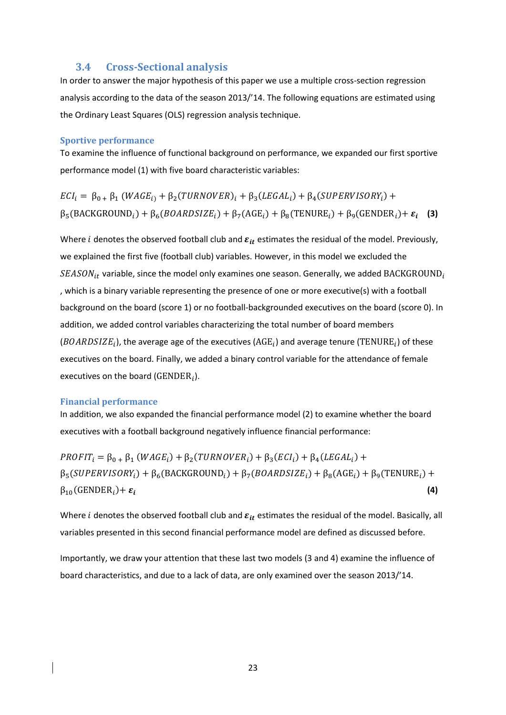## **3.4 Cross-Sectional analysis**

In order to answer the major hypothesis of this paper we use a multiple cross-section regression analysis according to the data of the season 2013/'14. The following equations are estimated using the Ordinary Least Squares (OLS) regression analysis technique.

### **Sportive performance**

To examine the influence of functional background on performance, we expanded our first sportive performance model (1) with five board characteristic variables:

 $ECI_i = \beta_{0+} \beta_1 (WAGE_{i}) + \beta_2 (TURNOVER)_i + \beta_3 (LEGAL_i) + \beta_4 (SUPERVISORY_i) +$  $\beta_5(BACKGROUND_i) + \beta_6(BOARDSIZE_i) + \beta_7(AGE_i) + \beta_8(TENURE_i) + \beta_9(GENDER_i) + \varepsilon_i$  (3)

Where *i* denotes the observed football club and  $\varepsilon_{it}$  estimates the residual of the model. Previously, we explained the first five (football club) variables. However, in this model we excluded the  $SEASON_{it}$  variable, since the model only examines one season. Generally, we added BACKGROUND<sub>i</sub> , which is a binary variable representing the presence of one or more executive(s) with a football background on the board (score 1) or no football-backgrounded executives on the board (score 0). In addition, we added control variables characterizing the total number of board members (BOARDSIZE<sub>i</sub>), the average age of the executives (AGE<sub>i</sub>) and average tenure (TENURE<sub>i</sub>) of these executives on the board. Finally, we added a binary control variable for the attendance of female executives on the board (GENDER<sub>i</sub>).

#### **Financial performance**

In addition, we also expanded the financial performance model (2) to examine whether the board executives with a football background negatively influence financial performance:

 $PROFIT_i = \beta_{0+} \beta_1 (WAGE_i) + \beta_2 (TURNOVER_i) + \beta_3 (ECI_i) + \beta_4 (LEGAL_i) +$  $\beta_5(SUPERVISORY_i) + \beta_6(BACKGROUND_i) + \beta_7(BOARDSIZE_i) + \beta_8(AGE_i) + \beta_9(TENURE_i) +$  $\beta_{10}$ (GENDER<sub>i</sub>)+  $\varepsilon_i$ **(4)**

Where *i* denotes the observed football club and  $\varepsilon_{it}$  estimates the residual of the model. Basically, all variables presented in this second financial performance model are defined as discussed before.

Importantly, we draw your attention that these last two models (3 and 4) examine the influence of board characteristics, and due to a lack of data, are only examined over the season 2013/'14.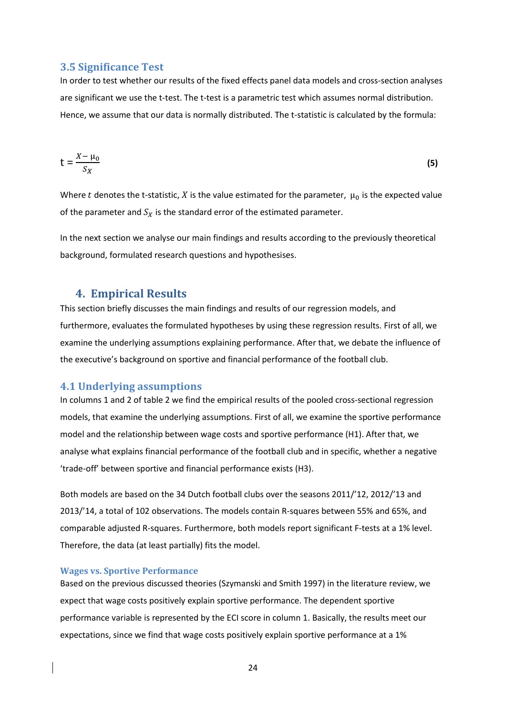## **3.5 Significance Test**

In order to test whether our results of the fixed effects panel data models and cross-section analyses are significant we use the t-test. The t-test is a parametric test which assumes normal distribution. Hence, we assume that our data is normally distributed. The t-statistic is calculated by the formula:

$$
t = \frac{X - \mu_0}{S_X} \tag{5}
$$

Where t denotes the t-statistic, X is the value estimated for the parameter,  $\mu_0$  is the expected value of the parameter and  $S_X$  is the standard error of the estimated parameter.

In the next section we analyse our main findings and results according to the previously theoretical background, formulated research questions and hypothesises.

## **4. Empirical Results**

This section briefly discusses the main findings and results of our regression models, and furthermore, evaluates the formulated hypotheses by using these regression results. First of all, we examine the underlying assumptions explaining performance. After that, we debate the influence of the executive's background on sportive and financial performance of the football club.

## **4.1 Underlying assumptions**

In columns 1 and 2 of table 2 we find the empirical results of the pooled cross-sectional regression models, that examine the underlying assumptions. First of all, we examine the sportive performance model and the relationship between wage costs and sportive performance (H1). After that, we analyse what explains financial performance of the football club and in specific, whether a negative 'trade-off' between sportive and financial performance exists (H3).

Both models are based on the 34 Dutch football clubs over the seasons 2011/'12, 2012/'13 and 2013/'14, a total of 102 observations. The models contain R-squares between 55% and 65%, and comparable adjusted R-squares. Furthermore, both models report significant F-tests at a 1% level. Therefore, the data (at least partially) fits the model.

#### **Wages vs. Sportive Performance**

Based on the previous discussed theories (Szymanski and Smith 1997) in the literature review, we expect that wage costs positively explain sportive performance. The dependent sportive performance variable is represented by the ECI score in column 1. Basically, the results meet our expectations, since we find that wage costs positively explain sportive performance at a 1%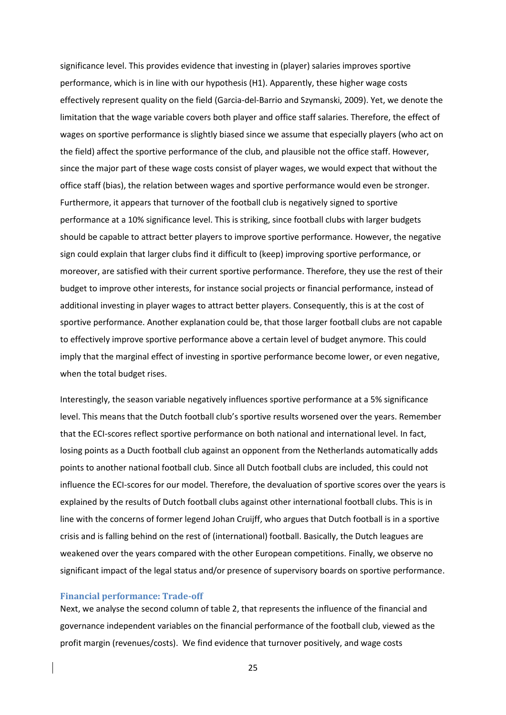significance level. This provides evidence that investing in (player) salaries improves sportive performance, which is in line with our hypothesis (H1). Apparently, these higher wage costs effectively represent quality on the field (Garcia-del-Barrio and Szymanski, 2009). Yet, we denote the limitation that the wage variable covers both player and office staff salaries. Therefore, the effect of wages on sportive performance is slightly biased since we assume that especially players (who act on the field) affect the sportive performance of the club, and plausible not the office staff. However, since the major part of these wage costs consist of player wages, we would expect that without the office staff (bias), the relation between wages and sportive performance would even be stronger. Furthermore, it appears that turnover of the football club is negatively signed to sportive performance at a 10% significance level. This is striking, since football clubs with larger budgets should be capable to attract better players to improve sportive performance. However, the negative sign could explain that larger clubs find it difficult to (keep) improving sportive performance, or moreover, are satisfied with their current sportive performance. Therefore, they use the rest of their budget to improve other interests, for instance social projects or financial performance, instead of additional investing in player wages to attract better players. Consequently, this is at the cost of sportive performance. Another explanation could be, that those larger football clubs are not capable to effectively improve sportive performance above a certain level of budget anymore. This could imply that the marginal effect of investing in sportive performance become lower, or even negative, when the total budget rises.

Interestingly, the season variable negatively influences sportive performance at a 5% significance level. This means that the Dutch football club's sportive results worsened over the years. Remember that the ECI-scores reflect sportive performance on both national and international level. In fact, losing points as a Ducth football club against an opponent from the Netherlands automatically adds points to another national football club. Since all Dutch football clubs are included, this could not influence the ECI-scores for our model. Therefore, the devaluation of sportive scores over the years is explained by the results of Dutch football clubs against other international football clubs. This is in line with the concerns of former legend Johan Cruijff, who argues that Dutch football is in a sportive crisis and is falling behind on the rest of (international) football. Basically, the Dutch leagues are weakened over the years compared with the other European competitions. Finally, we observe no significant impact of the legal status and/or presence of supervisory boards on sportive performance.

#### **Financial performance: Trade-off**

Next, we analyse the second column of table 2, that represents the influence of the financial and governance independent variables on the financial performance of the football club, viewed as the profit margin (revenues/costs). We find evidence that turnover positively, and wage costs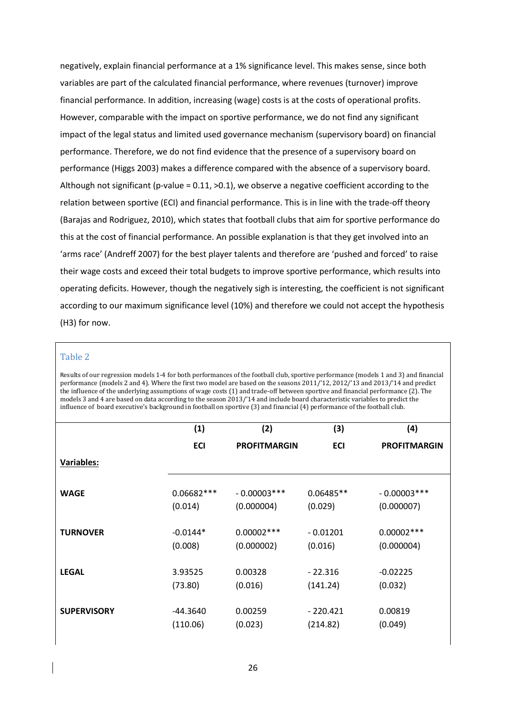negatively, explain financial performance at a 1% significance level. This makes sense, since both variables are part of the calculated financial performance, where revenues (turnover) improve financial performance. In addition, increasing (wage) costs is at the costs of operational profits. However, comparable with the impact on sportive performance, we do not find any significant impact of the legal status and limited used governance mechanism (supervisory board) on financial performance. Therefore, we do not find evidence that the presence of a supervisory board on performance (Higgs 2003) makes a difference compared with the absence of a supervisory board. Although not significant (p-value = 0.11, >0.1), we observe a negative coefficient according to the relation between sportive (ECI) and financial performance. This is in line with the trade-off theory (Barajas and Rodriguez, 2010), which states that football clubs that aim for sportive performance do this at the cost of financial performance. An possible explanation is that they get involved into an 'arms race' (Andreff 2007) for the best player talents and therefore are 'pushed and forced' to raise their wage costs and exceed their total budgets to improve sportive performance, which results into operating deficits. However, though the negatively sigh is interesting, the coefficient is not significant according to our maximum significance level (10%) and therefore we could not accept the hypothesis (H3) for now.

#### Table 2

Results of our regression models 1-4 for both performances of the football club, sportive performance (models 1 and 3) and financial performance (models 2 and 4). Where the first two model are based on the seasons 2011/'12, 2012/'13 and 2013/'14 and predict the influence of the underlying assumptions of wage costs (1) and trade-off between sportive and financial performance (2). The models 3 and 4 are based on data according to the season 2013/'14 and include board characteristic variables to predict the influence of board executive's background in football on sportive (3) and financial (4) performance of the football club.

|                    | (1)          | (2)                 | (3)         | (4)                 |
|--------------------|--------------|---------------------|-------------|---------------------|
|                    | <b>ECI</b>   | <b>PROFITMARGIN</b> | <b>ECI</b>  | <b>PROFITMARGIN</b> |
| Variables:         |              |                     |             |                     |
| <b>WAGE</b>        | $0.06682***$ | $-0.00003***$       | $0.06485**$ | $-0.00003***$       |
|                    | (0.014)      | (0.000004)          | (0.029)     | (0.000007)          |
| <b>TURNOVER</b>    | $-0.0144*$   | $0.00002***$        | $-0.01201$  | $0.00002***$        |
|                    | (0.008)      | (0.000002)          | (0.016)     | (0.000004)          |
| <b>LEGAL</b>       | 3.93525      | 0.00328             | $-22.316$   | $-0.02225$          |
|                    | (73.80)      | (0.016)             | (141.24)    | (0.032)             |
| <b>SUPERVISORY</b> | -44.3640     | 0.00259             | $-220.421$  | 0.00819             |
|                    | (110.06)     | (0.023)             | (214.82)    | (0.049)             |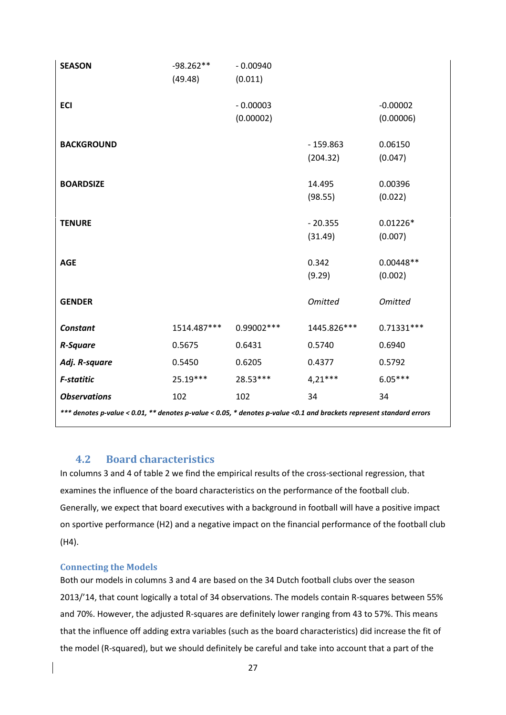| <b>SEASON</b>                                                                                                         | $-98.262**$ | $-0.00940$  |                |                |  |
|-----------------------------------------------------------------------------------------------------------------------|-------------|-------------|----------------|----------------|--|
|                                                                                                                       | (49.48)     | (0.011)     |                |                |  |
|                                                                                                                       |             |             |                |                |  |
| <b>ECI</b>                                                                                                            |             | $-0.00003$  |                | $-0.00002$     |  |
|                                                                                                                       |             | (0.00002)   |                | (0.00006)      |  |
| <b>BACKGROUND</b>                                                                                                     |             |             | $-159.863$     | 0.06150        |  |
|                                                                                                                       |             |             | (204.32)       | (0.047)        |  |
|                                                                                                                       |             |             |                |                |  |
| <b>BOARDSIZE</b>                                                                                                      |             |             | 14.495         | 0.00396        |  |
|                                                                                                                       |             |             | (98.55)        | (0.022)        |  |
| <b>TENURE</b>                                                                                                         |             |             | $-20.355$      | $0.01226*$     |  |
|                                                                                                                       |             |             | (31.49)        | (0.007)        |  |
|                                                                                                                       |             |             |                |                |  |
| <b>AGE</b>                                                                                                            |             |             | 0.342          | $0.00448**$    |  |
|                                                                                                                       |             |             | (9.29)         | (0.002)        |  |
| <b>GENDER</b>                                                                                                         |             |             | <b>Omitted</b> | <b>Omitted</b> |  |
|                                                                                                                       |             |             |                |                |  |
| <b>Constant</b>                                                                                                       | 1514.487*** | 0.99002 *** | 1445.826***    | $0.71331***$   |  |
| <b>R-Square</b>                                                                                                       | 0.5675      | 0.6431      | 0.5740         | 0.6940         |  |
| Adj. R-square                                                                                                         | 0.5450      | 0.6205      | 0.4377         | 0.5792         |  |
| <b>F-statitic</b>                                                                                                     | 25.19***    | 28.53***    | $4,21***$      | $6.05***$      |  |
| <b>Observations</b>                                                                                                   | 102         | 102         | 34             | 34             |  |
| *** denotes p-value < 0.01, ** denotes p-value < 0.05, * denotes p-value < 0.1 and brackets represent standard errors |             |             |                |                |  |

## **4.2 Board characteristics**

In columns 3 and 4 of table 2 we find the empirical results of the cross-sectional regression, that examines the influence of the board characteristics on the performance of the football club. Generally, we expect that board executives with a background in football will have a positive impact on sportive performance (H2) and a negative impact on the financial performance of the football club (H4).

## **Connecting the Models**

Both our models in columns 3 and 4 are based on the 34 Dutch football clubs over the season 2013/'14, that count logically a total of 34 observations. The models contain R-squares between 55% and 70%. However, the adjusted R-squares are definitely lower ranging from 43 to 57%. This means that the influence off adding extra variables (such as the board characteristics) did increase the fit of the model (R-squared), but we should definitely be careful and take into account that a part of the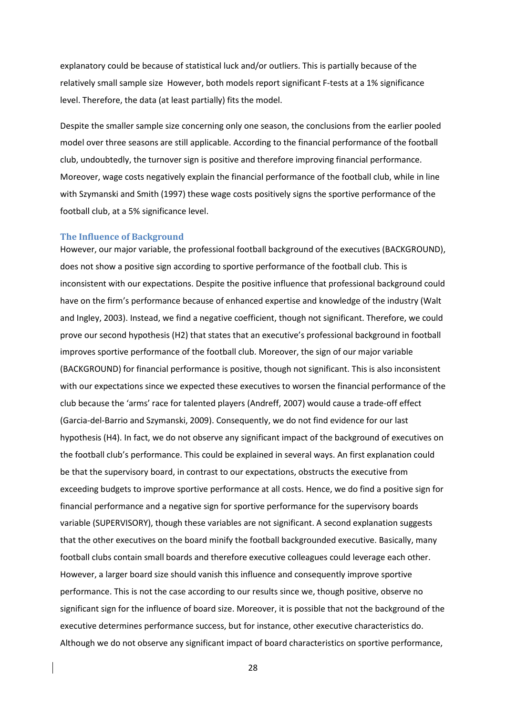explanatory could be because of statistical luck and/or outliers. This is partially because of the relatively small sample size However, both models report significant F-tests at a 1% significance level. Therefore, the data (at least partially) fits the model.

Despite the smaller sample size concerning only one season, the conclusions from the earlier pooled model over three seasons are still applicable. According to the financial performance of the football club, undoubtedly, the turnover sign is positive and therefore improving financial performance. Moreover, wage costs negatively explain the financial performance of the football club, while in line with Szymanski and Smith (1997) these wage costs positively signs the sportive performance of the football club, at a 5% significance level.

#### **The Influence of Background**

However, our major variable, the professional football background of the executives (BACKGROUND), does not show a positive sign according to sportive performance of the football club. This is inconsistent with our expectations. Despite the positive influence that professional background could have on the firm's performance because of enhanced expertise and knowledge of the industry (Walt and Ingley, 2003). Instead, we find a negative coefficient, though not significant. Therefore, we could prove our second hypothesis (H2) that states that an executive's professional background in football improves sportive performance of the football club. Moreover, the sign of our major variable (BACKGROUND) for financial performance is positive, though not significant. This is also inconsistent with our expectations since we expected these executives to worsen the financial performance of the club because the 'arms' race for talented players (Andreff, 2007) would cause a trade-off effect (Garcia-del-Barrio and Szymanski, 2009). Consequently, we do not find evidence for our last hypothesis (H4). In fact, we do not observe any significant impact of the background of executives on the football club's performance. This could be explained in several ways. An first explanation could be that the supervisory board, in contrast to our expectations, obstructs the executive from exceeding budgets to improve sportive performance at all costs. Hence, we do find a positive sign for financial performance and a negative sign for sportive performance for the supervisory boards variable (SUPERVISORY), though these variables are not significant. A second explanation suggests that the other executives on the board minify the football backgrounded executive. Basically, many football clubs contain small boards and therefore executive colleagues could leverage each other. However, a larger board size should vanish this influence and consequently improve sportive performance. This is not the case according to our results since we, though positive, observe no significant sign for the influence of board size. Moreover, it is possible that not the background of the executive determines performance success, but for instance, other executive characteristics do. Although we do not observe any significant impact of board characteristics on sportive performance,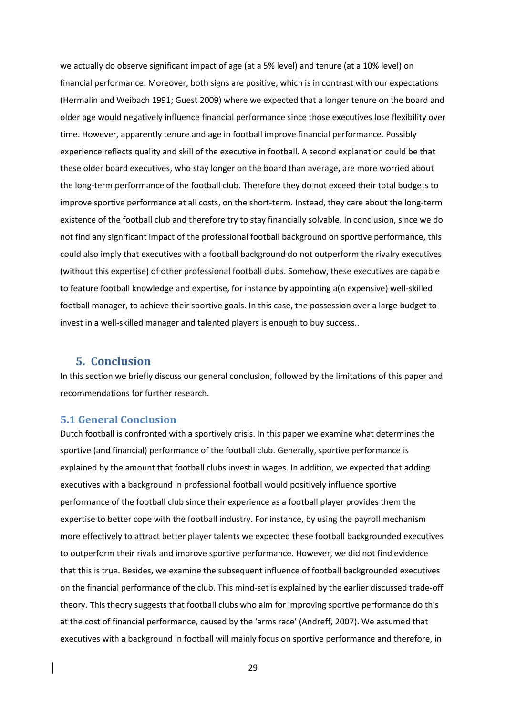we actually do observe significant impact of age (at a 5% level) and tenure (at a 10% level) on financial performance. Moreover, both signs are positive, which is in contrast with our expectations (Hermalin and Weibach 1991; Guest 2009) where we expected that a longer tenure on the board and older age would negatively influence financial performance since those executives lose flexibility over time. However, apparently tenure and age in football improve financial performance. Possibly experience reflects quality and skill of the executive in football. A second explanation could be that these older board executives, who stay longer on the board than average, are more worried about the long-term performance of the football club. Therefore they do not exceed their total budgets to improve sportive performance at all costs, on the short-term. Instead, they care about the long-term existence of the football club and therefore try to stay financially solvable. In conclusion, since we do not find any significant impact of the professional football background on sportive performance, this could also imply that executives with a football background do not outperform the rivalry executives (without this expertise) of other professional football clubs. Somehow, these executives are capable to feature football knowledge and expertise, for instance by appointing a(n expensive) well-skilled football manager, to achieve their sportive goals. In this case, the possession over a large budget to invest in a well-skilled manager and talented players is enough to buy success..

## **5. Conclusion**

In this section we briefly discuss our general conclusion, followed by the limitations of this paper and recommendations for further research.

## **5.1 General Conclusion**

Dutch football is confronted with a sportively crisis. In this paper we examine what determines the sportive (and financial) performance of the football club. Generally, sportive performance is explained by the amount that football clubs invest in wages. In addition, we expected that adding executives with a background in professional football would positively influence sportive performance of the football club since their experience as a football player provides them the expertise to better cope with the football industry. For instance, by using the payroll mechanism more effectively to attract better player talents we expected these football backgrounded executives to outperform their rivals and improve sportive performance. However, we did not find evidence that this is true. Besides, we examine the subsequent influence of football backgrounded executives on the financial performance of the club. This mind-set is explained by the earlier discussed trade-off theory. This theory suggests that football clubs who aim for improving sportive performance do this at the cost of financial performance, caused by the 'arms race' (Andreff, 2007). We assumed that executives with a background in football will mainly focus on sportive performance and therefore, in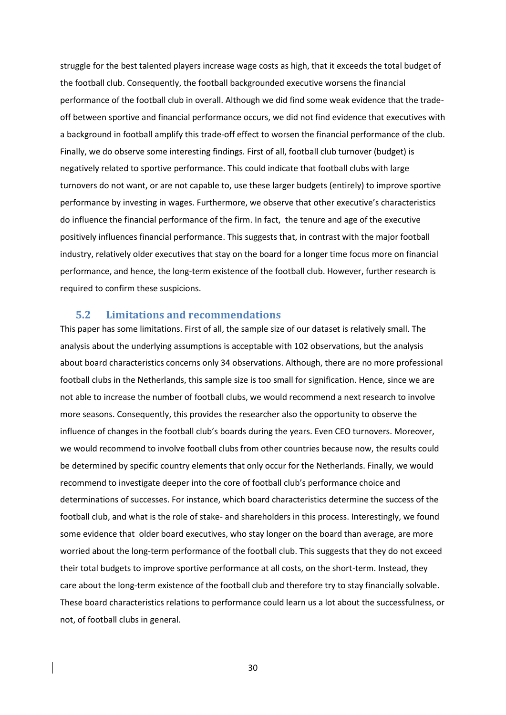struggle for the best talented players increase wage costs as high, that it exceeds the total budget of the football club. Consequently, the football backgrounded executive worsens the financial performance of the football club in overall. Although we did find some weak evidence that the tradeoff between sportive and financial performance occurs, we did not find evidence that executives with a background in football amplify this trade-off effect to worsen the financial performance of the club. Finally, we do observe some interesting findings. First of all, football club turnover (budget) is negatively related to sportive performance. This could indicate that football clubs with large turnovers do not want, or are not capable to, use these larger budgets (entirely) to improve sportive performance by investing in wages. Furthermore, we observe that other executive's characteristics do influence the financial performance of the firm. In fact, the tenure and age of the executive positively influences financial performance. This suggests that, in contrast with the major football industry, relatively older executives that stay on the board for a longer time focus more on financial performance, and hence, the long-term existence of the football club. However, further research is required to confirm these suspicions.

## **5.2 Limitations and recommendations**

This paper has some limitations. First of all, the sample size of our dataset is relatively small. The analysis about the underlying assumptions is acceptable with 102 observations, but the analysis about board characteristics concerns only 34 observations. Although, there are no more professional football clubs in the Netherlands, this sample size is too small for signification. Hence, since we are not able to increase the number of football clubs, we would recommend a next research to involve more seasons. Consequently, this provides the researcher also the opportunity to observe the influence of changes in the football club's boards during the years. Even CEO turnovers. Moreover, we would recommend to involve football clubs from other countries because now, the results could be determined by specific country elements that only occur for the Netherlands. Finally, we would recommend to investigate deeper into the core of football club's performance choice and determinations of successes. For instance, which board characteristics determine the success of the football club, and what is the role of stake- and shareholders in this process. Interestingly, we found some evidence that older board executives, who stay longer on the board than average, are more worried about the long-term performance of the football club. This suggests that they do not exceed their total budgets to improve sportive performance at all costs, on the short-term. Instead, they care about the long-term existence of the football club and therefore try to stay financially solvable. These board characteristics relations to performance could learn us a lot about the successfulness, or not, of football clubs in general.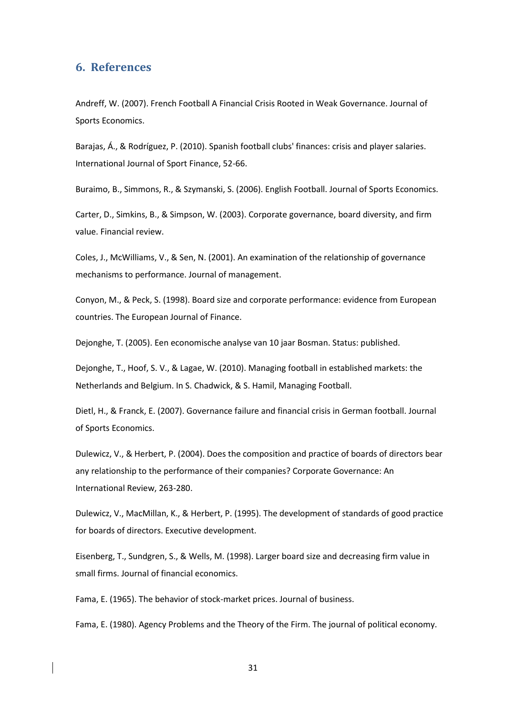## **6. References**

Andreff, W. (2007). French Football A Financial Crisis Rooted in Weak Governance. Journal of Sports Economics.

Barajas, Á., & Rodríguez, P. (2010). Spanish football clubs' finances: crisis and player salaries. International Journal of Sport Finance, 52-66.

Buraimo, B., Simmons, R., & Szymanski, S. (2006). English Football. Journal of Sports Economics.

Carter, D., Simkins, B., & Simpson, W. (2003). Corporate governance, board diversity, and firm value. Financial review.

Coles, J., McWilliams, V., & Sen, N. (2001). An examination of the relationship of governance mechanisms to performance. Journal of management.

Conyon, M., & Peck, S. (1998). Board size and corporate performance: evidence from European countries. The European Journal of Finance.

Dejonghe, T. (2005). Een economische analyse van 10 jaar Bosman. Status: published.

Dejonghe, T., Hoof, S. V., & Lagae, W. (2010). Managing football in established markets: the Netherlands and Belgium. In S. Chadwick, & S. Hamil, Managing Football.

Dietl, H., & Franck, E. (2007). Governance failure and financial crisis in German football. Journal of Sports Economics.

Dulewicz, V., & Herbert, P. (2004). Does the composition and practice of boards of directors bear any relationship to the performance of their companies? Corporate Governance: An International Review, 263-280.

Dulewicz, V., MacMillan, K., & Herbert, P. (1995). The development of standards of good practice for boards of directors. Executive development.

Eisenberg, T., Sundgren, S., & Wells, M. (1998). Larger board size and decreasing firm value in small firms. Journal of financial economics.

Fama, E. (1965). The behavior of stock-market prices. Journal of business.

Fama, E. (1980). Agency Problems and the Theory of the Firm. The journal of political economy.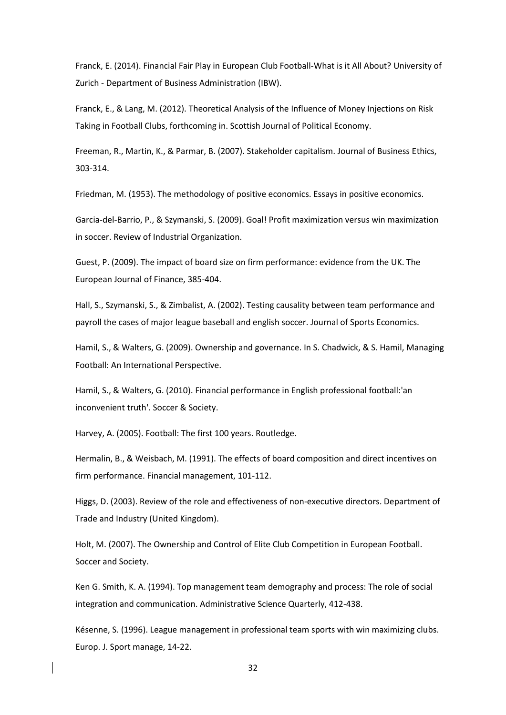Franck, E. (2014). Financial Fair Play in European Club Football-What is it All About? University of Zurich - Department of Business Administration (IBW).

Franck, E., & Lang, M. (2012). Theoretical Analysis of the Influence of Money Injections on Risk Taking in Football Clubs, forthcoming in. Scottish Journal of Political Economy.

Freeman, R., Martin, K., & Parmar, B. (2007). Stakeholder capitalism. Journal of Business Ethics, 303-314.

Friedman, M. (1953). The methodology of positive economics. Essays in positive economics.

Garcia-del-Barrio, P., & Szymanski, S. (2009). Goal! Profit maximization versus win maximization in soccer. Review of Industrial Organization.

Guest, P. (2009). The impact of board size on firm performance: evidence from the UK. The European Journal of Finance, 385-404.

Hall, S., Szymanski, S., & Zimbalist, A. (2002). Testing causality between team performance and payroll the cases of major league baseball and english soccer. Journal of Sports Economics.

Hamil, S., & Walters, G. (2009). Ownership and governance. In S. Chadwick, & S. Hamil, Managing Football: An International Perspective.

Hamil, S., & Walters, G. (2010). Financial performance in English professional football:'an inconvenient truth'. Soccer & Society.

Harvey, A. (2005). Football: The first 100 years. Routledge.

Hermalin, B., & Weisbach, M. (1991). The effects of board composition and direct incentives on firm performance. Financial management, 101-112.

Higgs, D. (2003). Review of the role and effectiveness of non-executive directors. Department of Trade and Industry (United Kingdom).

Holt, M. (2007). The Ownership and Control of Elite Club Competition in European Football. Soccer and Society.

Ken G. Smith, K. A. (1994). Top management team demography and process: The role of social integration and communication. Administrative Science Quarterly, 412-438.

Késenne, S. (1996). League management in professional team sports with win maximizing clubs. Europ. J. Sport manage, 14-22.